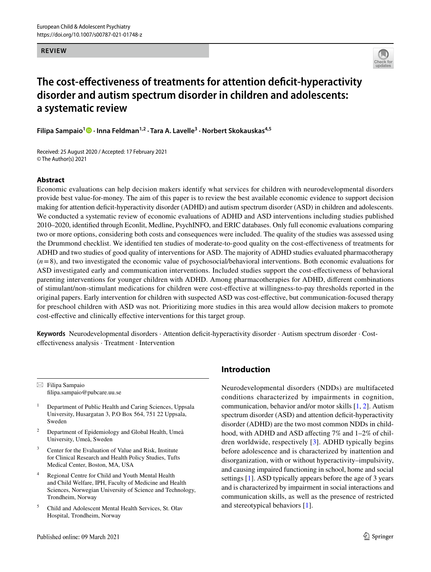#### **REVIEW**



# **The cost‑efectiveness of treatments for attention defcit‑hyperactivity disorder and autism spectrum disorder in children and adolescents: a systematic review**

**Filipa Sampaio<sup>1</sup> · Inna Feldman1,2 · Tara A. Lavelle3 · Norbert Skokauskas4,5**

Received: 25 August 2020 / Accepted: 17 February 2021 © The Author(s) 2021

## **Abstract**

Economic evaluations can help decision makers identify what services for children with neurodevelopmental disorders provide best value-for-money. The aim of this paper is to review the best available economic evidence to support decision making for attention defcit-hyperactivity disorder (ADHD) and autism spectrum disorder (ASD) in children and adolescents. We conducted a systematic review of economic evaluations of ADHD and ASD interventions including studies published 2010–2020, identifed through Econlit, Medline, PsychINFO, and ERIC databases. Only full economic evaluations comparing two or more options, considering both costs and consequences were included. The quality of the studies was assessed using the Drummond checklist. We identifed ten studies of moderate-to-good quality on the cost-efectiveness of treatments for ADHD and two studies of good quality of interventions for ASD. The majority of ADHD studies evaluated pharmacotherapy (*n*=8), and two investigated the economic value of psychosocial/behavioral interventions. Both economic evaluations for ASD investigated early and communication interventions. Included studies support the cost-efectiveness of behavioral parenting interventions for younger children with ADHD. Among pharmacotherapies for ADHD, diferent combinations of stimulant/non-stimulant medications for children were cost-efective at willingness-to-pay thresholds reported in the original papers. Early intervention for children with suspected ASD was cost-efective, but communication-focused therapy for preschool children with ASD was not. Prioritizing more studies in this area would allow decision makers to promote cost-efective and clinically efective interventions for this target group.

**Keywords** Neurodevelopmental disorders · Attention defcit-hyperactivity disorder · Autism spectrum disorder · Costefectiveness analysis · Treatment · Intervention

 $\boxtimes$  Filipa Sampaio flipa.sampaio@pubcare.uu.se

- <sup>1</sup> Department of Public Health and Caring Sciences, Uppsala University, Husargatan 3, P.O Box 564, 751 22 Uppsala, Sweden
- <sup>2</sup> Department of Epidemiology and Global Health, Umeå University, Umeå, Sweden
- Center for the Evaluation of Value and Risk, Institute for Clinical Research and Health Policy Studies, Tufts Medical Center, Boston, MA, USA
- <sup>4</sup> Regional Centre for Child and Youth Mental Health and Child Welfare, IPH, Faculty of Medicine and Health Sciences, Norwegian University of Science and Technology, Trondheim, Norway
- <sup>5</sup> Child and Adolescent Mental Health Services, St. Olav Hospital, Trondheim, Norway

# **Introduction**

Neurodevelopmental disorders (NDDs) are multifaceted conditions characterized by impairments in cognition, communication, behavior and/or motor skills [[1,](#page-13-0) [2\]](#page-13-1). Autism spectrum disorder (ASD) and attention deficit-hyperactivity disorder (ADHD) are the two most common NDDs in childhood, with ADHD and ASD affecting 7% and 1–2% of children worldwide, respectively [\[3](#page-13-2)]. ADHD typically begins before adolescence and is characterized by inattention and disorganization, with or without hyperactivity–impulsivity, and causing impaired functioning in school, home and social settings [\[1](#page-13-0)]. ASD typically appears before the age of 3 years and is characterized by impairment in social interactions and communication skills, as well as the presence of restricted and stereotypical behaviors [[1](#page-13-0)].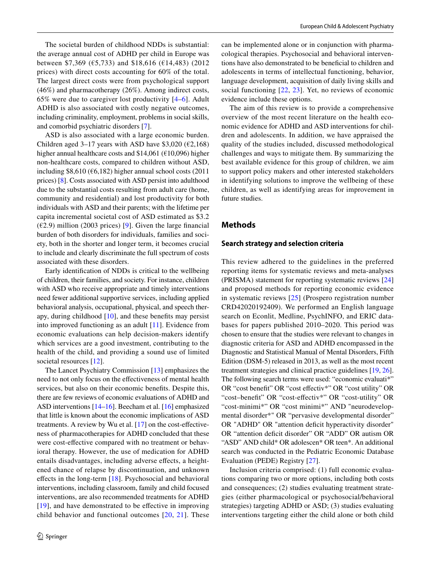The societal burden of childhood NDDs is substantial: the average annual cost of ADHD per child in Europe was between \$7,369 (€5,733) and \$18,616 (€14,483) (2012 prices) with direct costs accounting for 60% of the total. The largest direct costs were from psychological support (46%) and pharmacotherapy (26%). Among indirect costs, 65% were due to caregiver lost productivity [[4](#page-13-3)[–6\]](#page-13-4). Adult ADHD is also associated with costly negative outcomes, including criminality, employment, problems in social skills, and comorbid psychiatric disorders [[7\]](#page-13-5).

ASD is also associated with a large economic burden. Children aged 3–17 years with ASD have \$3,020 ( $\epsilon$ 2,168) higher annual healthcare costs and \$14,061 (€10,096) higher non-healthcare costs, compared to children without ASD, including \$8,610 ( $\epsilon$ 6,182) higher annual school costs (2011 prices) [\[8](#page-13-6)]. Costs associated with ASD persist into adulthood due to the substantial costs resulting from adult care (home, community and residential) and lost productivity for both individuals with ASD and their parents; with the lifetime per capita incremental societal cost of ASD estimated as \$3.2  $(\text{\textsterling}2.9)$  $(\text{\textsterling}2.9)$  $(\text{\textsterling}2.9)$  million (2003 prices) [9]. Given the large financial burden of both disorders for individuals, families and society, both in the shorter and longer term, it becomes crucial to include and clearly discriminate the full spectrum of costs associated with these disorders.

Early identifcation of NDDs is critical to the wellbeing of children, their families, and society. For instance, children with ASD who receive appropriate and timely interventions need fewer additional supportive services, including applied behavioral analysis, occupational, physical, and speech therapy, during childhood [\[10](#page-13-8)], and these benefts may persist into improved functioning as an adult [\[11](#page-13-9)]. Evidence from economic evaluations can help decision-makers identify which services are a good investment, contributing to the health of the child, and providing a sound use of limited societal resources [\[12](#page-14-0)].

The Lancet Psychiatry Commission [[13](#page-14-1)] emphasizes the need to not only focus on the efectiveness of mental health services, but also on their economic benefts. Despite this, there are few reviews of economic evaluations of ADHD and ASD interventions [\[14](#page-14-2)[–16](#page-14-3)]. Beecham et al. [[16\]](#page-14-3) emphasized that little is known about the economic implications of ASD treatments. A review by Wu et al. [[17\]](#page-14-4) on the cost-efectiveness of pharmacotherapies for ADHD concluded that these were cost-effective compared with no treatment or behavioral therapy. However, the use of medication for ADHD entails disadvantages, including adverse efects, a heightened chance of relapse by discontinuation, and unknown efects in the long-term [[18\]](#page-14-5). Psychosocial and behavioral interventions, including classroom, family and child focused interventions, are also recommended treatments for ADHD [[19\]](#page-14-6), and have demonstrated to be effective in improving child behavior and functional outcomes [\[20,](#page-14-7) [21\]](#page-14-8). These can be implemented alone or in conjunction with pharmacological therapies. Psychosocial and behavioral interventions have also demonstrated to be benefcial to children and adolescents in terms of intellectual functioning, behavior, language development, acquisition of daily living skills and social functioning [\[22,](#page-14-9) [23\]](#page-14-10). Yet, no reviews of economic evidence include these options.

The aim of this review is to provide a comprehensive overview of the most recent literature on the health economic evidence for ADHD and ASD interventions for children and adolescents. In addition, we have appraised the quality of the studies included, discussed methodological challenges and ways to mitigate them. By summarizing the best available evidence for this group of children, we aim to support policy makers and other interested stakeholders in identifying solutions to improve the wellbeing of these children, as well as identifying areas for improvement in future studies.

#### **Methods**

#### **Search strategy and selection criteria**

This review adhered to the guidelines in the preferred reporting items for systematic reviews and meta-analyses (PRISMA) statement for reporting systematic reviews [[24\]](#page-14-11) and proposed methods for reporting economic evidence in systematic reviews [\[25\]](#page-14-12) (Prospero registration number CRD42020192409). We performed an English language search on Econlit, Medline, PsychINFO, and ERIC databases for papers published 2010–2020. This period was chosen to ensure that the studies were relevant to changes in diagnostic criteria for ASD and ADHD encompassed in the Diagnostic and Statistical Manual of Mental Disorders, Fifth Edition (DSM-5) released in 2013, as well as the most recent treatment strategies and clinical practice guidelines [[19,](#page-14-6) [26](#page-14-13)]. The following search terms were used: "economic evaluati\*" OR "cost beneft" OR "cost efectiv\*" OR "cost utility" OR "cost–beneft" OR "cost-efectiv\*" OR "cost-utility" OR "cost-minimi\*" OR "cost minimi\*" AND "neurodevelopmental disorder\*" OR "pervasive developmental disorder" OR "ADHD" OR "attention deficit hyperactivity disorder" OR "attention deficit disorder" OR "ADD" OR autism OR "ASD" AND child\* OR adolescen\* OR teen\*. An additional search was conducted in the Pediatric Economic Database Evaluation (PEDE) Registry [[27\]](#page-14-14).

Inclusion criteria comprised: (1) full economic evaluations comparing two or more options, including both costs and consequences; (2) studies evaluating treatment strategies (either pharmacological or psychosocial/behavioral strategies) targeting ADHD or ASD; (3) studies evaluating interventions targeting either the child alone or both child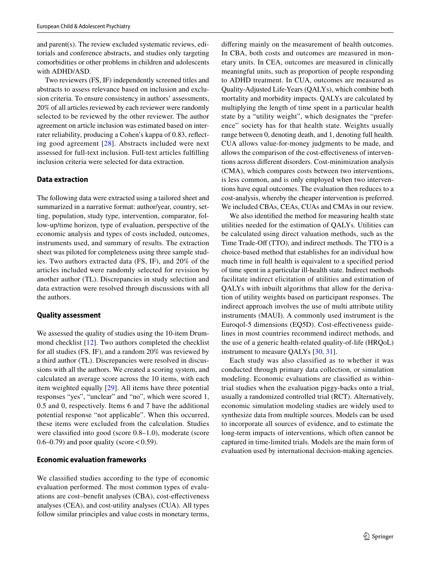and parent(s). The review excluded systematic reviews, editorials and conference abstracts, and studies only targeting comorbidities or other problems in children and adolescents with ADHD/ASD.

Two reviewers (FS, IF) independently screened titles and abstracts to assess relevance based on inclusion and exclusion criteria. To ensure consistency in authors' assessments, 20% of all articles reviewed by each reviewer were randomly selected to be reviewed by the other reviewer. The author agreement on article inclusion was estimated based on interrater reliability, producing a Cohen's kappa of 0.83, refecting good agreement [[28](#page-14-15)]. Abstracts included were next assessed for full-text inclusion. Full-text articles fulflling inclusion criteria were selected for data extraction.

## **Data extraction**

The following data were extracted using a tailored sheet and summarized in a narrative format: author/year, country, setting, population, study type, intervention, comparator, follow-up/time horizon, type of evaluation, perspective of the economic analysis and types of costs included, outcomes, instruments used, and summary of results. The extraction sheet was piloted for completeness using three sample studies. Two authors extracted data (FS, IF), and 20% of the articles included were randomly selected for revision by another author (TL). Discrepancies in study selection and data extraction were resolved through discussions with all the authors.

## **Quality assessment**

We assessed the quality of studies using the 10-item Drummond checklist [\[12\]](#page-14-0). Two authors completed the checklist for all studies (FS, IF), and a random 20% was reviewed by a third author (TL). Discrepancies were resolved in discussions with all the authors. We created a scoring system, and calculated an average score across the 10 items, with each item weighted equally [\[29\]](#page-14-16). All items have three potential responses "yes", "unclear" and "no", which were scored 1, 0.5 and 0, respectively. Items 6 and 7 have the additional potential response "not applicable". When this occurred, these items were excluded from the calculation. Studies were classifed into good (score 0.8–1.0), moderate (score 0.6–0.79) and poor quality (score  $< 0.59$ ).

## **Economic evaluation frameworks**

We classifed studies according to the type of economic evaluation performed. The most common types of evaluations are cost–beneft analyses (CBA), cost-efectiveness analyses (CEA), and cost-utility analyses (CUA). All types follow similar principles and value costs in monetary terms,

difering mainly on the measurement of health outcomes. In CBA, both costs and outcomes are measured in monetary units. In CEA, outcomes are measured in clinically meaningful units, such as proportion of people responding to ADHD treatment. In CUA, outcomes are measured as Quality-Adjusted Life-Years (QALYs), which combine both mortality and morbidity impacts. QALYs are calculated by multiplying the length of time spent in a particular health state by a "utility weight", which designates the "preference" society has for that health state. Weights usually range between 0, denoting death, and 1, denoting full health. CUA allows value-for-money judgments to be made, and allows the comparison of the cost-efectiveness of interventions across diferent disorders. Cost-minimization analysis (CMA), which compares costs between two interventions, is less common, and is only employed when two interventions have equal outcomes. The evaluation then reduces to a cost-analysis, whereby the cheaper intervention is preferred. We included CBAs, CEAs, CUAs and CMAs in our review.

We also identifed the method for measuring health state utilities needed for the estimation of QALYs. Utilities can be calculated using direct valuation methods, such as the Time Trade-Off (TTO), and indirect methods. The TTO is a choice-based method that establishes for an individual how much time in full health is equivalent to a specifed period of time spent in a particular ill-health state. Indirect methods facilitate indirect elicitation of utilities and estimation of QALYs with inbuilt algorithms that allow for the derivation of utility weights based on participant responses. The indirect approach involves the use of multi attribute utility instruments (MAUI). A commonly used instrument is the Euroqol-5 dimensions (EQ5D). Cost-efectiveness guidelines in most countries recommend indirect methods, and the use of a generic health-related quality-of-life (HRQoL) instrument to measure QALYs [\[30](#page-14-17), [31\]](#page-14-18).

Each study was also classified as to whether it was conducted through primary data collection, or simulation modeling. Economic evaluations are classifed as withintrial studies when the evaluation piggy-backs onto a trial, usually a randomized controlled trial (RCT). Alternatively, economic simulation modeling studies are widely used to synthesize data from multiple sources. Models can be used to incorporate all sources of evidence, and to estimate the long-term impacts of interventions, which often cannot be captured in time-limited trials. Models are the main form of evaluation used by international decision-making agencies.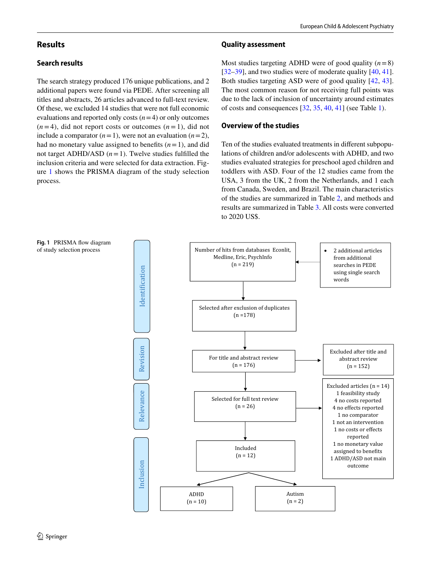# **Results**

# **Search results**

The search strategy produced 176 unique publications, and 2 additional papers were found via PEDE. After screening all titles and abstracts, 26 articles advanced to full-text review. Of these, we excluded 14 studies that were not full economic evaluations and reported only costs  $(n=4)$  or only outcomes  $(n=4)$ , did not report costs or outcomes  $(n=1)$ , did not include a comparator  $(n=1)$ , were not an evaluation  $(n=2)$ , had no monetary value assigned to benefits  $(n=1)$ , and did not target ADHD/ASD  $(n=1)$ . Twelve studies fulfilled the inclusion criteria and were selected for data extraction. Figure [1](#page-3-0) shows the PRISMA diagram of the study selection process.

## **Quality assessment**

Most studies targeting ADHD were of good quality  $(n=8)$ [[32–](#page-14-19)[39\]](#page-14-20), and two studies were of moderate quality  $[40, 41]$  $[40, 41]$  $[40, 41]$  $[40, 41]$ . Both studies targeting ASD were of good quality [[42,](#page-14-23) [43](#page-15-0)]. The most common reason for not receiving full points was due to the lack of inclusion of uncertainty around estimates of costs and consequences [[32,](#page-14-19) [35](#page-14-24), [40](#page-14-21), [41](#page-14-22)] (see Table [1\)](#page-4-0).

# **Overview of the studies**

Ten of the studies evaluated treatments in diferent subpopulations of children and/or adolescents with ADHD, and two studies evaluated strategies for preschool aged children and toddlers with ASD. Four of the 12 studies came from the USA, 3 from the UK, 2 from the Netherlands, and 1 each from Canada, Sweden, and Brazil. The main characteristics of the studies are summarized in Table [2,](#page-5-0) and methods and results are summarized in Table [3.](#page-8-0) All costs were converted to 2020 US\$.

<span id="page-3-0"></span>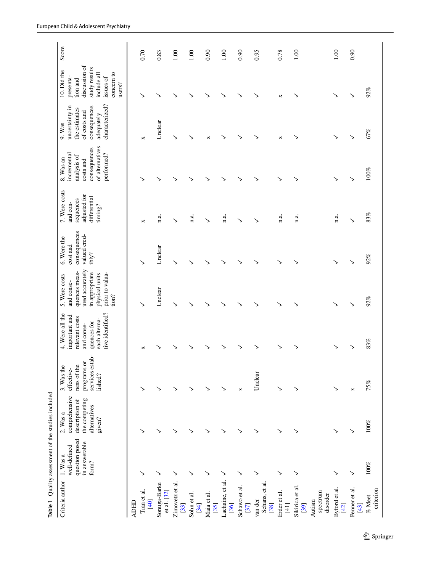<span id="page-4-0"></span>

|                                                           |                                                                      | Table 1 Quality assessment of the studies included                                       |                                                                                     |                                                                                                                      |                                                                                                                                 |                                                                  |                                                                                   |                                                                                                       |                                                                                                           |                                                                                                                            |       |
|-----------------------------------------------------------|----------------------------------------------------------------------|------------------------------------------------------------------------------------------|-------------------------------------------------------------------------------------|----------------------------------------------------------------------------------------------------------------------|---------------------------------------------------------------------------------------------------------------------------------|------------------------------------------------------------------|-----------------------------------------------------------------------------------|-------------------------------------------------------------------------------------------------------|-----------------------------------------------------------------------------------------------------------|----------------------------------------------------------------------------------------------------------------------------|-------|
| Criteria author                                           | question posed<br>in answerable<br>well-defined<br>1. Was a<br>form? | comprehensive<br>the competing<br>description of<br>alternatives<br>$2.$ Was a<br>given? | services estab<br>programs or<br>ness of the<br>3. Was the<br>effective-<br>lished? | tive identified?<br>4. Were all the<br>important and<br>relevant costs<br>each alterna-<br>quences for<br>and conse- | ured accurately<br>quences meas-<br>in appropriate<br>prior to valua-<br>physical units<br>5. Were costs<br>and conse-<br>tion? | consequences<br>valued cred-<br>6. Were the<br>cost and<br>ibly? | 7. Were costs<br>adjusted for<br>differential<br>sequences<br>and con-<br>timing? | of alternatives<br>consequences<br>performed?<br>incremental<br>analysis of<br>8. Was an<br>costs and | characterized?<br>uncertainty in<br>consequences<br>the estimates<br>of costs and<br>adequately<br>9. Was | discussion of<br>study results<br>10. Did the<br>concern to<br>include all<br>presenta-<br>issues of<br>tion and<br>users? | Score |
| <b>ADHD</b>                                               |                                                                      |                                                                                          |                                                                                     |                                                                                                                      |                                                                                                                                 |                                                                  |                                                                                   |                                                                                                       |                                                                                                           |                                                                                                                            |       |
| Tran et al.<br>$[40]$                                     | ↘                                                                    |                                                                                          | ↘                                                                                   | ×                                                                                                                    |                                                                                                                                 | ゝ                                                                | ×                                                                                 |                                                                                                       | ×                                                                                                         | ↘                                                                                                                          | 0.70  |
| Sonuga-Barke<br>et al. [32]                               | ↘                                                                    |                                                                                          | ↘                                                                                   |                                                                                                                      | Unclear                                                                                                                         | Unclear                                                          | n.a.                                                                              |                                                                                                       | Unclear                                                                                                   | ↘                                                                                                                          | 0.83  |
| Zimovetz et al.<br>[33]                                   | ゝ                                                                    | ↘                                                                                        |                                                                                     |                                                                                                                      | ゝ                                                                                                                               | ゝ                                                                | ゝ                                                                                 |                                                                                                       | ↘                                                                                                         |                                                                                                                            | 1.00  |
| Sohn et al.<br>[34]                                       | ↘                                                                    |                                                                                          |                                                                                     |                                                                                                                      |                                                                                                                                 |                                                                  | n.a.                                                                              |                                                                                                       | ↘                                                                                                         |                                                                                                                            | 1.00  |
| Maia et al.<br>$[35]$                                     | ↘                                                                    | ↘                                                                                        | ↘                                                                                   |                                                                                                                      |                                                                                                                                 |                                                                  | ゝ                                                                                 |                                                                                                       | $\mathsf{x}$                                                                                              |                                                                                                                            | 0.90  |
| Lachaine, et al.<br>[36]                                  | ↘                                                                    | ↘                                                                                        | ↘                                                                                   |                                                                                                                      |                                                                                                                                 |                                                                  | n.a.                                                                              |                                                                                                       | ↘                                                                                                         | ↘                                                                                                                          | 1.00  |
| Schawo et al.<br>[37]                                     | ↘                                                                    | ↘                                                                                        | $\Join$                                                                             |                                                                                                                      |                                                                                                                                 |                                                                  | ゝ                                                                                 |                                                                                                       | ゝ                                                                                                         | ↘                                                                                                                          | 0.90  |
| Schans, et al<br>van der<br>[38]                          | ↘                                                                    | ↘                                                                                        | Unclear                                                                             |                                                                                                                      |                                                                                                                                 |                                                                  |                                                                                   |                                                                                                       | ↘                                                                                                         | ↘                                                                                                                          | 0.95  |
| Erder et al.<br>$[41]$                                    | ↘                                                                    | ↘                                                                                        | ゝ                                                                                   |                                                                                                                      |                                                                                                                                 |                                                                  | n.a.                                                                              |                                                                                                       | ×                                                                                                         | ×                                                                                                                          | 0.78  |
| Sikirica et al.<br>spectrum<br>disorder<br>Autism<br>[39] | ↘                                                                    | ↘                                                                                        | ↘                                                                                   |                                                                                                                      |                                                                                                                                 |                                                                  | n.a.                                                                              |                                                                                                       |                                                                                                           | ↘                                                                                                                          | 1.00  |
| Byford et al.<br>$[42]$                                   | ↘                                                                    | ↘                                                                                        | ↘                                                                                   |                                                                                                                      | ↘                                                                                                                               |                                                                  | 1.3.                                                                              | ゝ                                                                                                     |                                                                                                           | ↘                                                                                                                          | 1.00  |
| Penner et al.<br>[43]                                     | ↘                                                                    |                                                                                          | ×                                                                                   |                                                                                                                      |                                                                                                                                 | ↘                                                                | ゝ                                                                                 |                                                                                                       |                                                                                                           | ゝ                                                                                                                          | 0.90  |
| criterion<br>$\%$ Meet                                    | $100\%$                                                              | $100\%$                                                                                  | 75%                                                                                 | 83%                                                                                                                  | 92%                                                                                                                             | 92%                                                              | 83%                                                                               | $100\%$                                                                                               | 67%                                                                                                       | 92%                                                                                                                        |       |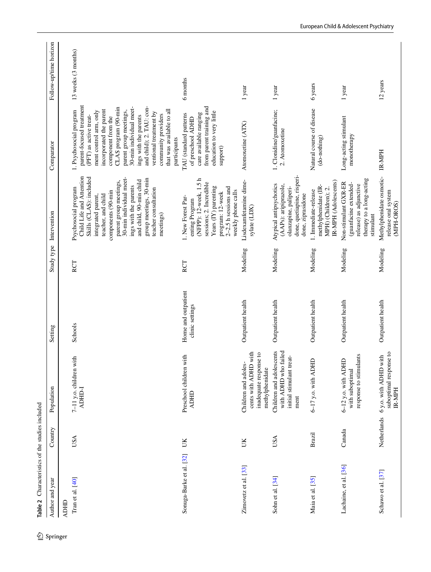<span id="page-5-0"></span>

| Table 2 Characteristics of the studies included |               |                                                                                                              |                                        |            |                                                                                                                                                                                                                                                                                                                       |                                                                                                                                                                                                                                                                                                                                                                                          |                        |
|-------------------------------------------------|---------------|--------------------------------------------------------------------------------------------------------------|----------------------------------------|------------|-----------------------------------------------------------------------------------------------------------------------------------------------------------------------------------------------------------------------------------------------------------------------------------------------------------------------|------------------------------------------------------------------------------------------------------------------------------------------------------------------------------------------------------------------------------------------------------------------------------------------------------------------------------------------------------------------------------------------|------------------------|
| Author and year                                 | Country       | Population                                                                                                   | Setting                                | Study type | Intervention                                                                                                                                                                                                                                                                                                          | Comparator                                                                                                                                                                                                                                                                                                                                                                               | Follow-up/time horizon |
| Tran et al. [40]<br><b>ADHD</b>                 | USA           | 7-11 y.o. children with<br>ADHD-I                                                                            | Schools                                | RCT        | Child Life and Attention<br>Skills (CLAS): included<br>30-min individual meet-<br>group meetings, 30-min<br>and child, 90-min child<br>parent group meetings,<br>ings with the parents<br>Psychosocial program<br>teacher consultation<br>components (90-min<br>teacher, and child<br>integrated parent,<br>meetings) | parent-focused treatment<br>and child); 2. TAU: con-<br>CLAS program (90-min<br>30-min individual meet-<br>that was available to all<br>incorporated the parent<br>1. Psychosocial program<br>parent group meetings,<br>ment control arm, only<br>ventional treatment by<br>community providers<br>(PFT) as active treat-<br>ings with the parents<br>component from the<br>participants | 13 weeks (3 months)    |
| Sonuga-Barke et al. [32]                        | UK            | Preschool children with<br><b>ADHD</b>                                                                       | Home and outpatient<br>clinic settings | RCT        | (NFPP): 12-week, 1.5 h<br>sessions; 2. Incredible<br>Years (IY) parenting<br>$2-2.5$ h sessions and<br>weekly phone calls<br>program: 12-week<br>1. New Forest Par-<br>enting Program                                                                                                                                 | from parent training and<br>education to very little<br>care available ranging<br>TAU (standard patterns<br>of preschool ADHD<br>support)                                                                                                                                                                                                                                                | 6 months               |
| Zimovetz et al. [33]                            | UK            | with<br>inadequate response to<br>Children and adoles-<br>cents with ADHD<br>methylphenidate                 | Outpatient health                      | Modeling   | Lisdexamfetamine dime-<br>sylate (LDX)                                                                                                                                                                                                                                                                                | Atomoxetine (ATX)                                                                                                                                                                                                                                                                                                                                                                        | 1 year                 |
| Sohn et al. [34]                                | USA           | Children and adolescents<br>with ADHD who failed<br>initial stimulant treat-<br>$\mathop{\rm ment}\nolimits$ | Outpatient health                      | Modeling   | done, quetiapine, risperi-<br>Atypical antipsychotics<br>(AAPs): aripiprazole,<br>olanzapine, paliperi-<br>done, ziprasidone                                                                                                                                                                                          | 1. Clonidine/guanfacine;<br>2. Atomoxetine                                                                                                                                                                                                                                                                                                                                               | 1 year                 |
| Maia et al. [35]                                | <b>Brazil</b> | $6-17$ y.o. with ADHD                                                                                        | Outpatient health                      | Modeling   | IR-MPH (Adolescents)<br>methylphenidate (IR-<br>MPH) (Children); 2.<br>1. Immediate-release                                                                                                                                                                                                                           | Natural course of disease<br>(do-nothing)                                                                                                                                                                                                                                                                                                                                                | 6 years                |
| Lachaine, et al. [36]                           | Canada        | response to stimulants<br>6-12 y.o. with ADHD<br>with suboptimal                                             | Outpatient health                      | Modeling   | therapy to a long-acting<br>Non-stimulant GXR-ER<br>(guanfacine extended-<br>release) as adjunctive<br>stimulant                                                                                                                                                                                                      | Long-acting stimulant<br>monotherapy                                                                                                                                                                                                                                                                                                                                                     | 1 year                 |
| Schawo et al. [37]                              | Netherlands   | suboptimal response to<br>6 y.o. with ADHD with<br><b>IR-MPH</b>                                             | Outpatient health                      | Modeling   | Methylphenidate osmotic-<br>release oral system<br>(MPH-OROS)                                                                                                                                                                                                                                                         | IR-MPH                                                                                                                                                                                                                                                                                                                                                                                   | 12 years               |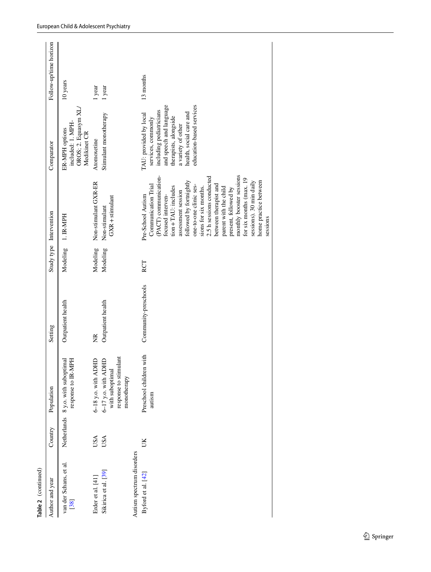| Table 2 (continued)            |             |                                                                                  |                      |          |                                                                                                                                                                                                                                                                                                                                                                                                                                     |                                                                                                                                                                                                          |                        |
|--------------------------------|-------------|----------------------------------------------------------------------------------|----------------------|----------|-------------------------------------------------------------------------------------------------------------------------------------------------------------------------------------------------------------------------------------------------------------------------------------------------------------------------------------------------------------------------------------------------------------------------------------|----------------------------------------------------------------------------------------------------------------------------------------------------------------------------------------------------------|------------------------|
| Author and year                | Country     | Population                                                                       | Setting              |          | Study type Intervention                                                                                                                                                                                                                                                                                                                                                                                                             | Comparator                                                                                                                                                                                               | Follow-up/time horizon |
| van der Schans, et al.<br>[38] | Netherlands | response to IR-MPH<br>8 y.o. with suboptimal                                     | Outpatient health    | Modeling | 1. IR-MPH                                                                                                                                                                                                                                                                                                                                                                                                                           | OROS; 2. Equasym XL<br>included: 1. MPH-<br>ER-MPH options<br>Medikinet CR                                                                                                                               | 10 years               |
| Erder et al. [41]              | USA         | $6-18$ y.o. with ADHD                                                            | Ř                    | Modeling | Non-stimulant GXR-ER                                                                                                                                                                                                                                                                                                                                                                                                                | Atomoxetine                                                                                                                                                                                              | 1 year                 |
| Sikirica et al. [39]           | USA         | response to stimulant<br>$6-17$ y.o. with ADHD<br>with suboptimal<br>monotherapy | Outpatient health    | Modeling | $GXR +$ stimulant<br>Non-stimulant                                                                                                                                                                                                                                                                                                                                                                                                  | Stimulant monotherapy                                                                                                                                                                                    | 1 year                 |
| Autism spectrum disorders      |             |                                                                                  |                      |          |                                                                                                                                                                                                                                                                                                                                                                                                                                     |                                                                                                                                                                                                          |                        |
| Byford et al. [42]             | UК          | Preschool children with<br>autism                                                | Community-preschools | RCT      | monthly booster sessions<br>(PACT) communication-<br>2.5 h sessions conducted<br>for six months (max. 19<br>followed by fortnightly<br>sessions). 30 min daily<br>home practice between<br>between therapist and<br>Communication Trial<br>one-to-one clinic ses-<br>tion + TAU: includes<br>sions for six months.<br>parent with the child<br>present, followed by<br>assessment session<br>Pre-School Autism<br>focused interven- | education-based services<br>and speech and language<br>including pediatricians<br>health, social care and<br>TAU: provided by local<br>therapists, alongside<br>services, commonly<br>a variety of other | 13 months              |
|                                |             |                                                                                  |                      |          | sessions                                                                                                                                                                                                                                                                                                                                                                                                                            |                                                                                                                                                                                                          |                        |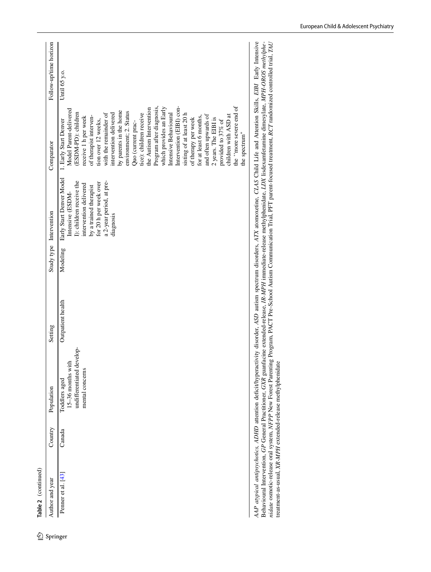| t |
|---|
| 7 |
|   |

| Table 2 (continued) |         |                                                                                    |                   |          |                                                                                                                                                                                                                       |                                                                                                                                                                                                                                                                                                                                                                                                                                                   |                        |
|---------------------|---------|------------------------------------------------------------------------------------|-------------------|----------|-----------------------------------------------------------------------------------------------------------------------------------------------------------------------------------------------------------------------|---------------------------------------------------------------------------------------------------------------------------------------------------------------------------------------------------------------------------------------------------------------------------------------------------------------------------------------------------------------------------------------------------------------------------------------------------|------------------------|
| Author and year     | Country | Population                                                                         | Setting           |          | Study type Intervention                                                                                                                                                                                               | Comparator                                                                                                                                                                                                                                                                                                                                                                                                                                        | Follow-up/time horizon |
| Penner et al. [43]  | Canada  | undifferentiated develop-<br>15-36 months with<br>mental concerns<br>Toddlers aged | Outpatient health | Modeling | Early Start Denver Model 1. Early Start Denver<br>I): children receive the<br>a 2-year period, at pre-<br>for 20 h per week over<br>intervention delivered<br>by a trained therapist<br>Intensive (ESDM-<br>diagnosis | Intervention (EIBI) con-<br>Program after diagnosis,<br>which provides an Early<br>Model Parent-delivered<br>the Autism Intervention<br>by parents in the home<br>environment; 2. Status<br>(ESDM-PD): children<br>sisting of at least 20 h<br>tice): children receive<br>intervention delivered<br>with the remainder of<br>Intensive Behavioural<br>receive 1 h per week<br>of therapist interven-<br>tion over 12 weeks,<br>Quo (current prac- | Until 65 y.o.          |
|                     |         |                                                                                    |                   |          |                                                                                                                                                                                                                       | of therapy per week                                                                                                                                                                                                                                                                                                                                                                                                                               |                        |

AAP atypical antipsychotics, ADHD attention deficit/hyperactivity disorder, ASD autism spectrum disorders, ATX atomoxetine, CLAS Child Life and Attention Skills, EIBI Early Intensive<br>Behavioural Intervention, GP General Pr *AAP atypical antipsychotics, ADHD* attention defcit/hyperactivity disorder, *ASD* autism spectrum disorders, *ATX* atomoxetine, *CLAS* Child Life and Attention Skills, *EIBI* Early Intensive *nidate* osmotic-release oral system, *NFPP* New Forest Parenting Program, PACT Pre-School Autism Communication Trial, PFT parent-focused treatment, *RCT* randomized controlled trial, *TAU*  Behavioural Intervention, *GP* General Practitioner, *GXR* guanfacine extended-release, *IR-MPH* immediate-release methylphenidate, *LDX* lisdexamfetamine dimesylate, *MPH*-*OROS methylphe*treatment-as-usual, XR-MPH extended-release methylphenidate treatment-as-usual, *XR-MPH* extended-release methylphenidate

the spectrum"

children with ASD at<br>the "more severe end of<br>the spectrum"

of therapy per week for at least 6 months, and often upwards of 2 years. The EIBI is provided to 37% of children with ASD at the ''more severe end of

and often upwards of 2 years. The EIBI is<br>provided to  $37\%$  of

for at least 6 months,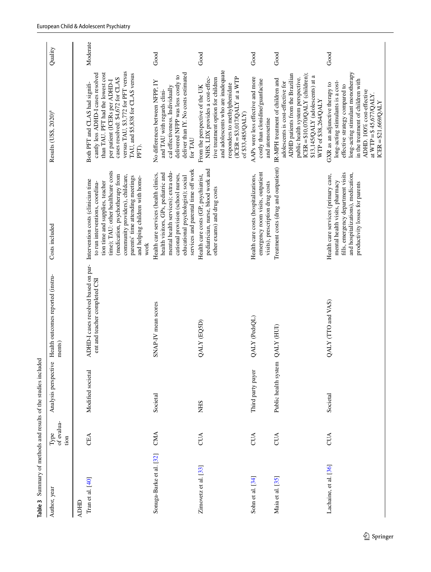<span id="page-8-0"></span>

| of evalua-<br>Type<br>tion | $\mathbf 0$<br>Analysis perspectiv | Health outcomes reported (instru-<br>ments)                                                             | Costs included                                                                                                                                                                                                                                         | Results (US\$, 2020) <sup>a</sup>                                                                                                                                                                                                                                   | Quality  |
|----------------------------|------------------------------------|---------------------------------------------------------------------------------------------------------|--------------------------------------------------------------------------------------------------------------------------------------------------------------------------------------------------------------------------------------------------------|---------------------------------------------------------------------------------------------------------------------------------------------------------------------------------------------------------------------------------------------------------------------|----------|
| CEA                        | Modified societal                  | ADHD-I cases resolved based on par- Intervention costs (clinician time<br>ent and teacher completed CSI | time); TAU: other healthcare costs<br>(medication, psychotherapy from<br>community providers), childcare,<br>parents' time attending meetings<br>and helping children with home-<br>tion time and supplies, teacher<br>to run interventions, coordina- | versus TAU, \$3,772 for PFT versus<br>than TAU. PFT had the lowest cost<br>TAU, and \$5,838 for CLAS versus<br>cantly less ADHD-I cases resolved<br>cases resolved: \$4,672 for CLAS<br>per patient (ICERs per ADHD-I<br>Both PFT and CLAS had signifi-<br>PFT).    | Moderate |
| CMA                        | Societal                           | SNAP-IV mean scores                                                                                     | services and parental time off work<br>mental health services); extra edu-<br>health visitors, GPs, pediatric and<br>Health care services (health clinics,<br>cational provision (school nurses,<br>educational psychologist); social<br>work          | deliver than IY. No costs estimated<br>delivered NFPP was less costly to<br>No differences between NFPP, IY<br>cal effectiveness. Individually<br>and TAU with regards clini-<br>for TAU                                                                            | Good     |
| CUA                        | <b>NHS</b>                         | QALY (EQ5D)                                                                                             | pediatrician, nurse, blood work and<br>Health care costs (GP, psychiatrist,<br>other exams) and drug costs                                                                                                                                             | and adolescents who are inadequate<br>$(ICER = $3,017/QALY$ at a WTP<br>tive treatment option for children<br>NHS, LDX provides a cost-effec-<br>responders to methylphenidate<br>From the perspective of the UK<br>of \$33,485/QALY)                               | Good     |
| CUA                        | Third party payer                  | QALY (PedsQL)                                                                                           | emergency room visits, outpatient<br>Health care costs (hospitalizations,<br>visits), prescription drug costs                                                                                                                                          | AAPs were less effective and more<br>costly than clonidine/guanfacine<br>and atomoxetine                                                                                                                                                                            | Good     |
| CUA                        | Public health system               | QALY (HUI)                                                                                              | Treatment costs (drug and outpatient)                                                                                                                                                                                                                  | ADHD patients from the Brazilian<br>ICER = $$10,070/QALY$ (children);<br>\$13,145/QALY (adolescents) at a<br>public health system perspective.<br>IR-MPH treatment of children and<br>adolescents is cost-effective for<br>WTP of \$38,264/QALY                     | Good     |
| <b>CUA</b>                 | Societal                           | QALY (TTO and VAS)                                                                                      | fills, emergency department visits<br>and hospitalizations), medication,<br>Health care services (primary care,<br>mental health visits, pharmacy<br>productivity losses for parents                                                                   | long-acting stimulant monotherapy<br>in the treatment of children with<br>long-acting stimulants is a cost-<br>GXR as an adjunctive therapy to<br>effective strategy compared to<br>ADHD. 100% cost-effective<br>at WTP = $$45,677/QALY$ .<br>$ICER = $21,669/QALY$ | Good     |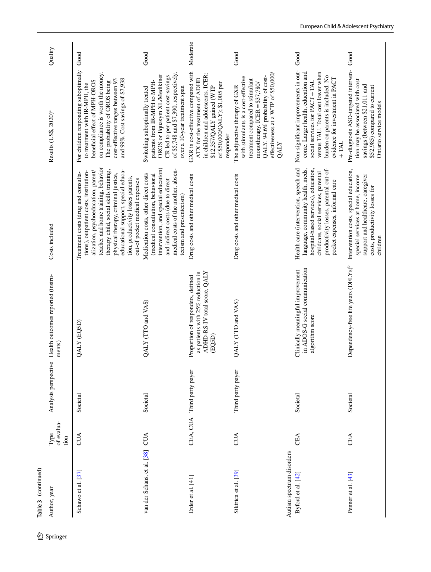|            | Table 3 (continued)                             |                            |                            |                                                                                                                  |                                                                                                                                                                                                                                                                                                                                                             |                                                                                                                                                                                                                                                      |               |
|------------|-------------------------------------------------|----------------------------|----------------------------|------------------------------------------------------------------------------------------------------------------|-------------------------------------------------------------------------------------------------------------------------------------------------------------------------------------------------------------------------------------------------------------------------------------------------------------------------------------------------------------|------------------------------------------------------------------------------------------------------------------------------------------------------------------------------------------------------------------------------------------------------|---------------|
| 2 Springer | Author, year                                    | of evalua-<br>Type<br>tion | Analysis perspective       | Health outcomes reported (instru-<br>ments)                                                                      | Costs included                                                                                                                                                                                                                                                                                                                                              | Results (US\$, 2020) <sup>a</sup>                                                                                                                                                                                                                    | Quality       |
|            | Schawo et al. [37]                              | CUA                        | Societal                   | QALY (EQSD)                                                                                                      | teacher and home training, behavior<br>therapy child, social skills training,<br>educational support, special educa-<br>alization, psychoeducation, parent/<br>tions), outpatient costs, institution-<br>Treatment costs (drug and consulta-<br>physical therapy, criminal justice,<br>tion, productivity losses parents,<br>out-of pocket medical expenses | For children responding suboptimally<br>on compliance is worth the money.<br>cost-effective ranges between 93<br>and 99%. Cost savings of \$7,938<br>beneficial effect of MPH-OROS<br>The probability of OROS being<br>to treatment with IR-MPH, the | Good          |
|            | van der Schans, et al. [38]                     | <b>CUA</b>                 | Societal                   | QALY (TTO and VAS)                                                                                               | intervention, and special education)<br>medical costs of the mother, absen-<br>Medication costs, other direct costs<br>(medical consultation, behavioral<br>and indirect costs (due to direct<br>teeism and presenteeism)                                                                                                                                   | of \$5,748 and \$7,390, respectively.<br>CR led to per-patient cost-savings<br>OROS or Equasym XL/Medikinet<br>patients from IR-MPH to MPH-<br>Switching suboptimally treated<br>over a 10-year treatment span                                       | $_{\rm Good}$ |
|            | Erder et al. [41]                               |                            | CEA, CUA Third party payer | ADHD-RS-IV total score, QALY<br>as patients with 25% reduction in<br>Proportion of responders, defined<br>(EQ5D) | Drug costs and other medical costs                                                                                                                                                                                                                                                                                                                          | GXR is cost-effective compared with<br>in children and adolescents. ICER:<br>ATX for the treatment of ADHD<br>of \$50,000/QALY); \$1,005 per<br>\$12,357/QALY gained (WTP<br>responder                                                               | Moderate      |
|            | Sikirica et al. [39]                            | CUA                        | Third party payer          | QALY (TTO and VAS)                                                                                               | Drug costs and other medical costs                                                                                                                                                                                                                                                                                                                          | effectiveness at a WTP of \$50,000/<br>QALY. 94.6% probability of cost-<br>with stimulants is a cost-effective<br>treatment compared to stimulant<br>monotherapy. ICER = \$37,780/<br>The adjunctive therapy of GXR<br><b>QALY</b>                   | Good          |
|            | Autism spectrum disorders<br>Byford et al. [42] | CEA                        | Societal                   | in ADOS-G social communication<br>Clinically meaningful improvement<br>algorithm score                           | Health care (intervention, speech and<br>hospital-based services), education,<br>productivity losses, parental out-of-<br>language, community health, meds,<br>childcare, social services, parental<br>pocket expenses, informal care                                                                                                                       | Non-significant improvements in out-<br>come. Larger health, education and<br>versus TAU. Total cost lower when<br>burden on parents is included. No<br>evidence for investment in PACT<br>social services for PACT+TAU<br>$+TM$                     | Good          |
|            | Penner et al. [43]                              | CEA                        | Societal                   | Dependency-free life years (DFLYs) <sup>b</sup>                                                                  | Intervention costs, special education,<br>support and healthcare, caregiver<br>special services at home, income<br>costs, productivity losses for<br>children                                                                                                                                                                                               | Pre-diagnosis ASD-targeted interven-<br>tion may be associated with cost<br>savings (between \$21,011 and<br>\$52,985) compared to current<br>Ontario service models                                                                                 | Good          |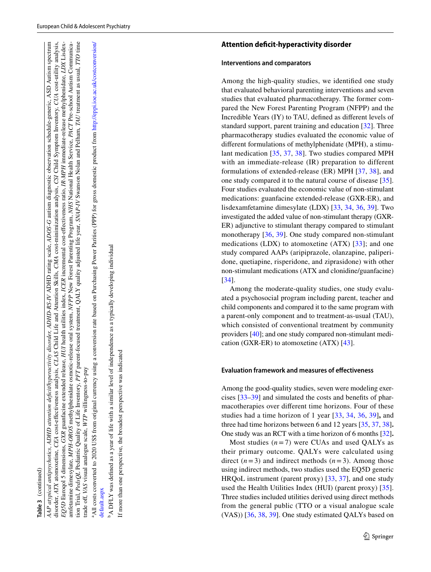ADHD rating scale, *ADOS-G* autism diagnostic observation schedule-generic, ASD Autism spectrum disorder, ATX atomoxetine, CEA cost-effectiveness analysis, CLAS Child Life and Attention Skills, CMA cost-minimization analysis, CSI Child Symptom Inventory, CUA cost-utility analysis, tion Trial, *PedsQL* Pediatric Quality of Life Inventory, *PFT* parent-focused treatment, QALY quality adjusted life year, *SNAP-IV* Swanson Nolan and Pelham, *TAU* treatment as usual, *TTO* time disorder, ATX atomoxetine, CEA cost-effectiveness analysis, CLAS Child Life and Attention Skills, CMA cost-minimization analysis, CSI Child Symptom Inventory, CUA cost-utility analysis, EQ5D Euroqol 5 dimensions, GXR guanfacine extended release, HUI health utilities index, ICER incremental cost-effectiveness ratio, IR-MPH immediate-release methylphenidate, LDX Lisdex-EQ5D Euroqol 5 dimensions, GXR guanfacine extended release, HUI health utilities index, ICER incremental cost-effectiveness ratio, IR-MPH immediate-release methylphenidate, LDX Lisdexamfetamine dimesylate, MPH-OROS methylphenidate osmotic-release oral system, NFPP New Forest Parenting Program, NHS National Health Service, PACT Pre-school Autism Communicaamfetamine dimesylate, *MPH-OROS* methylphenidate osmotic-release oral system, *NFPP* New Forest Parenting Program, *NHS* National Health Service, *PACT* Pre-school Autism Communica-Swanson Nolan and Pelham. TAU treatment as usual. TTO time AAP atypical antipsychotics, ADHD attention deficit/hyperactivity disorder, ADHD-RS-IV ADHD rating scale, ADOS-G autism diagnostic observation schedule-generic, ASD Autism spectrum tion Trial, *PedsQL* Pediatric Quality of Life Inventory, PFT parent-focused treatment, QALY quality adjusted life year, SNAP-IV *AAP atypical antipsychotics, ADHD attention defcit/hyperactivity disorder, ADHD-RS-IV*  trade off, VAS visual analogue scale, WTP willingness-to-pay trade of, *VAS* visual analogue scale, *WTP* willingness-to-pay

aAll costs converted to 2020 US\$ from original currency using a conversion rate based on Purchasing Power Parities (PPP) for gross domestic product from [http://eppi.ioe.ac.uk/costconversion/](http://eppi.ioe.ac.uk/costconversion/default.aspx) All costs converted to 2020 US\$ from original currency using a conversion rate based on Purchasing Power Parities (PPP) for gross domestic product from http://eppi.ioe.ac.uk/costconversion. default.aspx [default.aspx](http://eppi.ioe.ac.uk/costconversion/default.aspx)

A DFLY was defined as a year of life with a similar level of independence as a typically developing individual bA DFLY was defned as a year of life with a similar level of independence as a typically developing individual

If more than one perspective, the broadest perspective was indicated If more than one perspective, the broadest perspective was indicated

# **Interventions and comparators**

Among the high-quality studies, we identifed one study that evaluated behavioral parenting interventions and seven studies that evaluated pharmacotherapy. The former com pared the New Forest Parenting Program (NFPP) and the Incredible Years (IY) to TAU, defned as diferent levels of standard support, parent training and education [\[32](#page-14-19)]. Three pharmacotherapy studies evaluated the economic value of diferent formulations of methylphenidate (MPH), a stimu lant medication [\[35,](#page-14-24) [37](#page-14-28), [38](#page-14-29)]. Two studies compared MPH with an immediate-release (IR) preparation to different formulations of extended-release (ER) MPH [[37](#page-14-28), [38\]](#page-14-29), and one study compared it to the natural course of disease [\[35](#page-14-24)]. Four studies evaluated the economic value of non-stimulant medications: guanfacine extended-release (GXR-ER), and lisdexamfetamine dimesylate (LDX) [[33](#page-14-25), [34,](#page-14-26) [36](#page-14-27), [39\]](#page-14-20). Two investigated the added value of non-stimulant therapy (GXR-ER) adjunctive to stimulant therapy compared to stimulant monotherapy [[36](#page-14-27), [39\]](#page-14-20). One study compared non-stimulant medications (LDX) to atomoxetine (ATX) [[33](#page-14-25)]; and one study compared AAPs (aripiprazole, olanzapine, paliperi done, quetiapine, risperidone, and ziprasidone) with other [non](#page-14-26)-stimulant medications (ATX and clonidine/guanfacine) [[34\]](#page-14-26).

Among the moderate-quality studies, one study evalu ated a psychosocial program including parent, teacher and child components and compared it to the same program with a parent-only component and to treatment-as-usual (TAU), which consisted of conventional treatment by community providers [[40](#page-14-21)]; and one study compared non-stimulant medi cation (GXR-ER) to atomoxetine (ATX) [\[43\]](#page-15-0).

# **Evaluation framework and measures of efectiveness**

Among the good-quality studies, seven were modeling exer cises [[33](#page-14-25) [–39](#page-14-20)] and simulated the costs and benefts of phar macotherapies over diferent time horizons. Four of these studies had a time horizon of 1 year [[33,](#page-14-25) [34,](#page-14-26) [36,](#page-14-27) [39](#page-14-20) ] **,** and three had time horizons between 6 and 12 years [\[35,](#page-14-24) [37,](#page-14-28) [38](#page-14-29) ] **.** One study was an RCT with a time horizon of 6 months [[32](#page-14-19) ] **.**

Most studies  $(n=7)$  were CUAs and used QALYs as their primary outcome. QALYs were calculated using direct  $(n=3)$  and indirect methods  $(n=3)$ . Among those using indirect methods, two studies used the EQ5D generic HRQoL instrument (parent proxy) [[33](#page-14-25), [37\]](#page-14-28), and one study used the Health Utilities Index (HUI) (parent proxy) [\[35](#page-14-24)]. Three studies included utilities derived using direct methods from the general public (TTO or a visual analogue scale (VAS)) [\[36,](#page-14-27) [38,](#page-14-29) [39\]](#page-14-20). One study estimated QALYs based on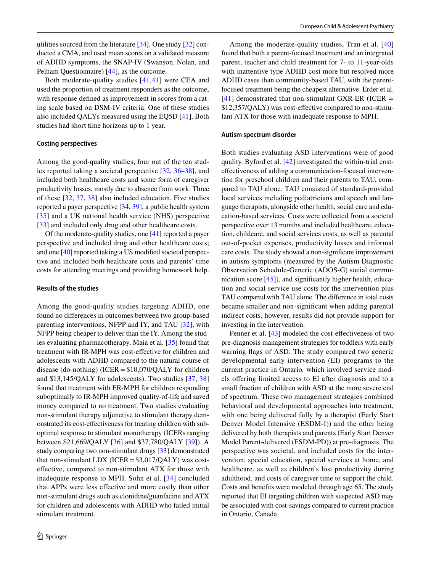utilities sourced from the literature [[34\]](#page-14-26). One study [\[32](#page-14-19)] conducted a CMA, and used mean scores on a validated measure of ADHD symptoms, the SNAP-IV (Swanson, Nolan, and Pelham Questionnaire) [\[44\]](#page-15-1), as the outcome.

Both moderate-quality studies [[41](#page-14-22),[41](#page-14-22)] were CEA and used the proportion of treatment responders as the outcome, with response defned as improvement in scores from a rating scale based on DSM-IV criteria. One of these studies also included QALYs measured using the EQ5D [\[41](#page-14-22)]. Both studies had short time horizons up to 1 year.

#### **Costing perspectives**

Among the good-quality studies, four out of the ten studies reported taking a societal perspective [[32,](#page-14-19) [36](#page-14-27)–[38\]](#page-14-29), and included both healthcare costs and some form of caregiver productivity losses, mostly due to absence from work. Three of these [[32](#page-14-19), [37,](#page-14-28) [38](#page-14-29)] also included education. Five studies reported a payer perspective [\[34](#page-14-26), [39\]](#page-14-20), a public health system [[35\]](#page-14-24) and a UK national health service (NHS) perspective [\[33\]](#page-14-25) and included only drug and other healthcare costs.

Of the moderate-quality studies, one [\[41](#page-14-22)] reported a payer perspective and included drug and other healthcare costs; and one [\[40](#page-14-21)] reported taking a US modifed societal perspective and included both healthcare costs and parents' time costs for attending meetings and providing homework help.

#### **Results of the studies**

Among the good-quality studies targeting ADHD, one found no diferences in outcomes between two group-based parenting interventions, NFPP and IY, and TAU [\[32\]](#page-14-19), with NFPP being cheaper to deliver than the IY. Among the studies evaluating pharmacotherapy, Maia et al. [\[35](#page-14-24)] found that treatment with IR-MPH was cost-efective for children and adolescents with ADHD compared to the natural course of disease (do-nothing) (ICER=\$10,070/QALY for children and \$13,145/QALY for adolescents). Two studies [[37](#page-14-28), [38\]](#page-14-29) found that treatment with ER-MPH for children responding suboptimally to IR-MPH improved quality-of-life and saved money compared to no treatment. Two studies evaluating non-stimulant therapy adjunctive to stimulant therapy demonstrated its cost-efectiveness for treating children with suboptimal response to stimulant monotherapy (ICERs ranging between \$21,669/QALY [[36\]](#page-14-27) and \$37,780/QALY [[39\]](#page-14-20)). A study comparing two non-stimulant drugs [[33](#page-14-25)] demonstrated that non-stimulant LDX (ICER =  $$3,017/QALY$ ) was costefective, compared to non-stimulant ATX for those with inadequate response to MPH. Sohn et al. [[34](#page-14-26)] concluded that APPs were less efective and more costly than other non-stimulant drugs such as clonidine/guanfacine and ATX for children and adolescents with ADHD who failed initial stimulant treatment.

Among the moderate-quality studies, Tran et al. [\[40\]](#page-14-21) found that both a parent-focused treatment and an integrated parent, teacher and child treatment for 7- to 11-year-olds with inattentive type ADHD cost more but resolved more ADHD cases than community-based TAU, with the parentfocused treatment being the cheapest alternative. Erder et al.  $[41]$  $[41]$  $[41]$  demonstrated that non-stimulant GXR-ER (ICER = \$12,357/QALY) was cost-efective compared to non-stimulant ATX for those with inadequate response to MPH.

#### **Autism spectrum disorder**

Both studies evaluating ASD interventions were of good quality. Byford et al. [[42\]](#page-14-23) investigated the within-trial costefectiveness of adding a communication-focused intervention for preschool children and their parents to TAU, compared to TAU alone. TAU consisted of standard-provided local services including pediatricians and speech and language therapists, alongside other health, social care and education-based services. Costs were collected from a societal perspective over 13 months and included healthcare, education, childcare, and social services costs, as well as parental out-of-pocket expenses, productivity losses and informal care costs. The study showed a non-signifcant improvement in autism symptoms (measured by the Autism Diagnostic Observation Schedule-Generic (ADOS-G) social communication score  $[45]$  $[45]$ , and significantly higher health, education and social service use costs for the intervention plus TAU compared with TAU alone. The diference in total costs became smaller and non-signifcant when adding parental indirect costs, however, results did not provide support for investing in the intervention.

Penner et al. [\[43\]](#page-15-0) modeled the cost-effectiveness of two pre-diagnosis management strategies for toddlers with early warning fags of ASD. The study compared two generic developmental early intervention (EI) programs to the current practice in Ontario*,* which involved service models ofering limited access to EI after diagnosis and to a small fraction of children with ASD at the more severe end of spectrum. These two management strategies combined behavioral and developmental approaches into treatment, with one being delivered fully by a therapist (Early Start Denver Model Intensive (ESDM-I)) and the other being delivered by both therapists and parents (Early Start Denver Model Parent-delivered (ESDM-PD)) at pre-diagnosis. The perspective was societal, and included costs for the intervention, special education, special services at home, and healthcare, as well as children's lost productivity during adulthood, and costs of caregiver time to support the child. Costs and benefts were modeled through age 65. The study reported that EI targeting children with suspected ASD may be associated with cost-savings compared to current practice in Ontario, Canada.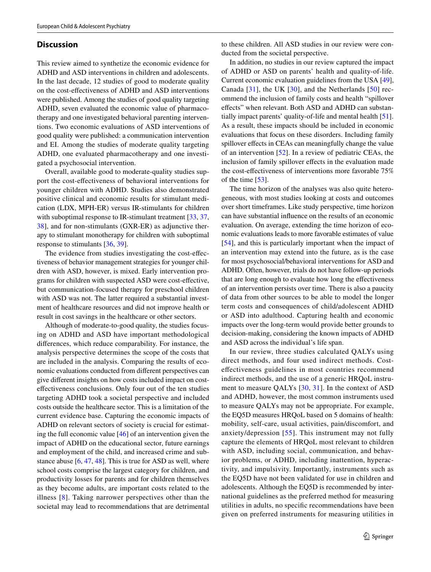## **Discussion**

This review aimed to synthetize the economic evidence for ADHD and ASD interventions in children and adolescents. In the last decade, 12 studies of good to moderate quality on the cost-efectiveness of ADHD and ASD interventions were published. Among the studies of good quality targeting ADHD, seven evaluated the economic value of pharmacotherapy and one investigated behavioral parenting interventions. Two economic evaluations of ASD interventions of good quality were published: a communication intervention and EI. Among the studies of moderate quality targeting ADHD, one evaluated pharmacotherapy and one investigated a psychosocial intervention.

Overall, available good to moderate-quality studies support the cost-efectiveness of behavioral interventions for younger children with ADHD. Studies also demonstrated positive clinical and economic results for stimulant medication (LDX, MPH-ER) versus IR-stimulants for children with suboptimal response to IR-stimulant treatment [[33,](#page-14-25) [37,](#page-14-28) [38](#page-14-29)], and for non-stimulants (GXR-ER) as adjunctive therapy to stimulant monotherapy for children with suboptimal response to stimulants [\[36,](#page-14-27) [39\]](#page-14-20).

The evidence from studies investigating the cost-efectiveness of behavior management strategies for younger children with ASD, however, is mixed. Early intervention programs for children with suspected ASD were cost-efective, but communication-focused therapy for preschool children with ASD was not. The latter required a substantial investment of healthcare resources and did not improve health or result in cost savings in the healthcare or other sectors.

Although of moderate-to-good quality, the studies focusing on ADHD and ASD have important methodological diferences, which reduce comparability. For instance, the analysis perspective determines the scope of the costs that are included in the analysis. Comparing the results of economic evaluations conducted from diferent perspectives can give diferent insights on how costs included impact on costefectiveness conclusions. Only four out of the ten studies targeting ADHD took a societal perspective and included costs outside the healthcare sector. This is a limitation of the current evidence base. Capturing the economic impacts of ADHD on relevant sectors of society is crucial for estimating the full economic value  $[46]$  $[46]$  of an intervention given the impact of ADHD on the educational sector, future earnings and employment of the child, and increased crime and substance abuse  $[6, 47, 48]$  $[6, 47, 48]$  $[6, 47, 48]$  $[6, 47, 48]$  $[6, 47, 48]$  $[6, 47, 48]$ . This is true for ASD as well, where school costs comprise the largest category for children, and productivity losses for parents and for children themselves as they become adults, are important costs related to the illness [\[8](#page-13-6)]. Taking narrower perspectives other than the societal may lead to recommendations that are detrimental to these children. All ASD studies in our review were conducted from the societal perspective.

In addition, no studies in our review captured the impact of ADHD or ASD on parents' health and quality-of-life. Current economic evaluation guidelines from the USA [\[49](#page-15-6)], Canada  $[31]$  $[31]$  $[31]$ , the UK  $[30]$  $[30]$  $[30]$ , and the Netherlands  $[50]$  recommend the inclusion of family costs and health "spillover efects" when relevant. Both ASD and ADHD can substantially impact parents' quality-of-life and mental health [\[51](#page-15-8)]. As a result, these impacts should be included in economic evaluations that focus on these disorders. Including family spillover effects in CEAs can meaningfully change the value of an intervention [[52](#page-15-9)]. In a review of pediatric CEAs, the inclusion of family spillover efects in the evaluation made the cost-efectiveness of interventions more favorable 75% of the time [[53\]](#page-15-10).

The time horizon of the analyses was also quite heterogeneous, with most studies looking at costs and outcomes over short timeframes. Like study perspective, time horizon can have substantial infuence on the results of an economic evaluation. On average, extending the time horizon of economic evaluations leads to more favorable estimates of value [[54\]](#page-15-11), and this is particularly important when the impact of an intervention may extend into the future, as is the case for most psychosocial/behavioral interventions for ASD and ADHD. Often, however, trials do not have follow-up periods that are long enough to evaluate how long the efectiveness of an intervention persists over time. There is also a paucity of data from other sources to be able to model the longer term costs and consequences of child/adolescent ADHD or ASD into adulthood. Capturing health and economic impacts over the long-term would provide better grounds to decision-making, considering the known impacts of ADHD and ASD across the individual's life span.

In our review, three studies calculated QALYs using direct methods, and four used indirect methods. Costefectiveness guidelines in most countries recommend indirect methods, and the use of a generic HRQoL instrument to measure QALYs [\[30,](#page-14-17) [31\]](#page-14-18). In the context of ASD and ADHD, however, the most common instruments used to measure QALYs may not be appropriate. For example, the EQ5D measures HRQoL based on 5 domains of health: mobility, self-care, usual activities, pain/discomfort, and anxiety/depression [[55](#page-15-12)]. This instrument may not fully capture the elements of HRQoL most relevant to children with ASD, including social, communication, and behavior problems, or ADHD, including inattention, hyperactivity, and impulsivity. Importantly, instruments such as the EQ5D have not been validated for use in children and adolescents. Although the EQ5D is recommended by international guidelines as the preferred method for measuring utilities in adults, no specifc recommendations have been given on preferred instruments for measuring utilities in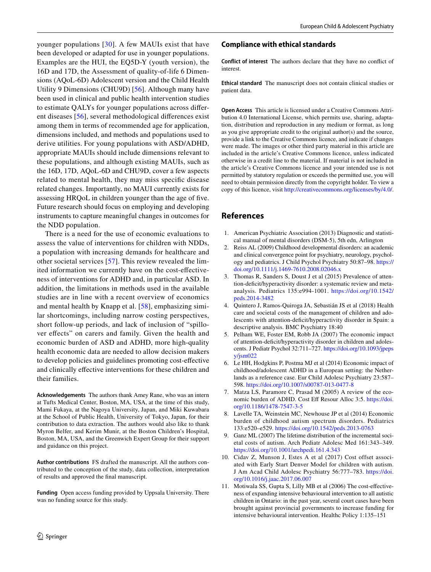younger populations [[30](#page-14-17)]. A few MAUIs exist that have been developed or adapted for use in younger populations. Examples are the HUI, the EQ5D-Y (youth version), the 16D and 17D, the Assessment of quality-of-life 6 Dimensions (AQoL-6D) Adolescent version and the Child Health Utility 9 Dimensions (CHU9D) [[56](#page-15-13)]. Although many have been used in clinical and public health intervention studies to estimate QALYs for younger populations across diferent diseases [[56](#page-15-13)], several methodological diferences exist among them in terms of recommended age for application, dimensions included, and methods and populations used to derive utilities. For young populations with ASD/ADHD, appropriate MAUIs should include dimensions relevant to these populations, and although existing MAUIs, such as the 16D, 17D, AQoL-6D and CHU9D, cover a few aspects related to mental health, they may miss specifc disease related changes. Importantly, no MAUI currently exists for assessing HRQoL in children younger than the age of fve. Future research should focus on employing and developing instruments to capture meaningful changes in outcomes for the NDD population.

There is a need for the use of economic evaluations to assess the value of interventions for children with NDDs, a population with increasing demands for healthcare and other societal services [[57](#page-15-14)]. This review revealed the limited information we currently have on the cost-efectiveness of interventions for ADHD and, in particular ASD. In addition, the limitations in methods used in the available studies are in line with a recent overview of economics and mental health by Knapp et al. [[58\]](#page-15-15), emphasizing similar shortcomings, including narrow costing perspectives, short follow-up periods, and lack of inclusion of "spillover efects" on carers and family. Given the health and economic burden of ASD and ADHD, more high-quality health economic data are needed to allow decision makers to develop policies and guidelines promoting cost-efective and clinically efective interventions for these children and their families.

**Acknowledgements** The authors thank Amey Rane, who was an intern at Tufts Medical Center, Boston, MA, USA, at the time of this study, Mami Fukaya, at the Nagoya University, Japan, and Miki Kuwabara at the School of Public Health, University of Tokyo, Japan, for their contribution to data extraction. The authors would also like to thank Myron Belfer, and Kerim Munir, at the Boston Children's Hospital, Boston, MA, USA, and the Greenwich Expert Group for their support and guidance on this project.

**Author contributions** FS drafted the manuscript. All the authors contributed to the conception of the study, data collection, interpretation of results and approved the fnal manuscript.

**Funding** Open access funding provided by Uppsala University. There was no funding source for this study.

#### **Compliance with ethical standards**

**Conflict of interest** The authors declare that they have no confict of interest.

**Ethical standard** The manuscript does not contain clinical studies or patient data.

**Open Access** This article is licensed under a Creative Commons Attribution 4.0 International License, which permits use, sharing, adaptation, distribution and reproduction in any medium or format, as long as you give appropriate credit to the original author(s) and the source, provide a link to the Creative Commons licence, and indicate if changes were made. The images or other third party material in this article are included in the article's Creative Commons licence, unless indicated otherwise in a credit line to the material. If material is not included in the article's Creative Commons licence and your intended use is not permitted by statutory regulation or exceeds the permitted use, you will need to obtain permission directly from the copyright holder. To view a copy of this licence, visit<http://creativecommons.org/licenses/by/4.0/>.

## **References**

- <span id="page-13-0"></span>1. American Psychiatric Association (2013) Diagnostic and statistical manual of mental disorders (DSM-5), 5th edn, Arlington
- <span id="page-13-1"></span>Reiss AL (2009) Childhood developmental disorders: an academic and clinical convergence point for psychiatry, neurology, psychology and pediatrics. J Child Psychol Psychiatry 50:87–98. [https://](https://doi.org/10.1111/j.1469-7610.2008.02046.x) [doi.org/10.1111/j.1469-7610.2008.02046.x](https://doi.org/10.1111/j.1469-7610.2008.02046.x)
- <span id="page-13-2"></span>3. Thomas R, Sanders S, Doust J et al (2015) Prevalence of attention-deficit/hyperactivity disorder: a systematic review and metaanalysis. Pediatrics 135:e994-1001. [https://doi.org/10.1542/](https://doi.org/10.1542/peds.2014-3482) [peds.2014-3482](https://doi.org/10.1542/peds.2014-3482)
- <span id="page-13-3"></span>4. Quintero J, Ramos-Quiroga JA, Sebastián JS et al (2018) Health care and societal costs of the management of children and adolescents with attention-deficit/hyperactivity disorder in Spain: a descriptive analysis. BMC Psychiatry 18:40
- 5. Pelham WE, Foster EM, Robb JA (2007) The economic impact of attention-deficit/hyperactivity disorder in children and adolescents. J Pediatr Psychol 32:711–727. [https://doi.org/10.1093/jpeps](https://doi.org/10.1093/jpepsy/jsm022) [y/jsm022](https://doi.org/10.1093/jpepsy/jsm022)
- <span id="page-13-4"></span>6. Le HH, Hodgkins P, Postma MJ et al (2014) Economic impact of childhood/adolescent ADHD in a European setting: the Netherlands as a reference case. Eur Child Adolesc Psychiatry 23:587– 598.<https://doi.org/10.1007/s00787-013-0477-8>
- <span id="page-13-5"></span>7. Matza LS, Paramore C, Prasad M (2005) A review of the economic burden of ADHD. Cost Ef Resour Alloc 3:5. [https://doi.](https://doi.org/10.1186/1478-7547-3-5) [org/10.1186/1478-7547-3-5](https://doi.org/10.1186/1478-7547-3-5)
- <span id="page-13-6"></span>8. Lavelle TA, Weinstein MC, Newhouse JP et al (2014) Economic burden of childhood autism spectrum disorders. Pediatrics 133:e520–e529.<https://doi.org/10.1542/peds.2013-0763>
- <span id="page-13-7"></span>9. Ganz ML (2007) The lifetime distribution of the incremental societal costs of autism. Arch Pediatr Adolesc Med 161:343–349. <https://doi.org/10.1001/archpedi.161.4.343>
- <span id="page-13-8"></span>10. Cidav Z, Munson J, Estes A et al (2017) Cost offset associated with Early Start Denver Model for children with autism. J Am Acad Child Adolesc Psychiatry 56:777–783. [https://doi.](https://doi.org/10.1016/j.jaac.2017.06.007) [org/10.1016/j.jaac.2017.06.007](https://doi.org/10.1016/j.jaac.2017.06.007)
- <span id="page-13-9"></span>11. Motiwala SS, Gupta S, Lilly MB et al (2006) The cost-efectiveness of expanding intensive behavioural intervention to all autistic children in Ontario: in the past year, several court cases have been brought against provincial governments to increase funding for intensive behavioural intervention. Healthc Policy 1:135–151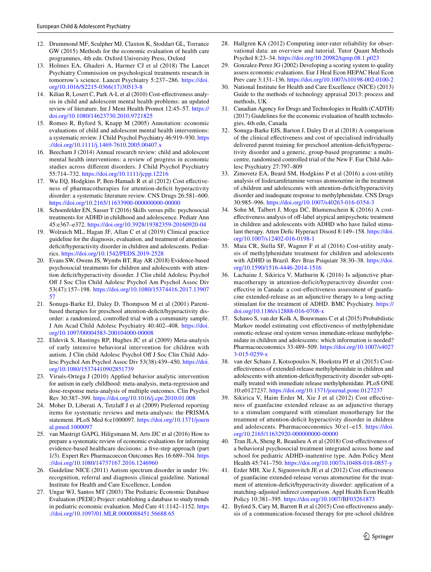- <span id="page-14-0"></span>12. Drummond MF, Sculpher MJ, Claxton K, Stoddart GL, Torrance GW (2015) Methods for the economic evaluation of health care programmes, 4th edn. Oxford University Press, Oxford
- <span id="page-14-1"></span>13. Holmes EA, Ghaderi A, Harmer CJ et al (2018) The Lancet Psychiatry Commission on psychological treatments research in tomorrow's science. Lancet Psychiatry 5:237–286. [https://doi.](https://doi.org/10.1016/S2215-0366(17)30513-8) [org/10.1016/S2215-0366\(17\)30513-8](https://doi.org/10.1016/S2215-0366(17)30513-8)
- <span id="page-14-2"></span>14. Kilian R, Losert C, Park A-L et al (2010) Cost-efectiveness analysis in child and adolescent mental health problems: an updated review of literature. Int J Ment Health Promot 12:45–57. [https://](https://doi.org/10.1080/14623730.2010.9721825) [doi.org/10.1080/14623730.2010.9721825](https://doi.org/10.1080/14623730.2010.9721825)
- 15. Romeo R, Byford S, Knapp M (2005) Annotation: economic evaluations of child and adolescent mental health interventions: a systematic review. J Child Psychol Psychiatry 46:919–930. [https](https://doi.org/10.1111/j.1469-7610.2005.00407.x) [://doi.org/10.1111/j.1469-7610.2005.00407.x](https://doi.org/10.1111/j.1469-7610.2005.00407.x)
- <span id="page-14-3"></span>16. Beecham J (2014) Annual research review: child and adolescent mental health interventions: a review of progress in economic studies across diferent disorders. J Child Psychol Psychiatry 55:714–732.<https://doi.org/10.1111/jcpp.12216>
- <span id="page-14-4"></span>17. Wu EQ, Hodgkins P, Ben-Hamadi R et al (2012) Cost efectiveness of pharmacotherapies for attention-defcit hyperactivity disorder: a systematic literature review. CNS Drugs 26:581–600. <https://doi.org/10.2165/11633900-000000000-00000>
- <span id="page-14-5"></span>18. Schoenfelder EN, Sasser T (2016) Skills versus pills: psychosocial treatments for ADHD in childhood and adolescence. Pediatr Ann 45:e367–e372. <https://doi.org/10.3928/19382359-20160920-04>
- <span id="page-14-6"></span>19. Wolraich ML, Hagan JF, Allan C et al (2019) Clinical practice guideline for the diagnosis, evaluation, and treatment of attentiondeficit/hyperactivity disorder in children and adolescents. Pediatrics. <https://doi.org/10.1542/PEDS.2019-2528>
- <span id="page-14-7"></span>20. Evans SW, Owens JS, Wymbs BT, Ray AR (2018) Evidence-based psychosocial treatments for children and adolescents with attention deficit/hyperactivity disorder. J Clin child Adolesc Psychol Of J Soc Clin Child Adolesc Psychol Am Psychol Assoc Div 53(47):157–198. [https://doi.org/10.1080/15374416.2017.13907](https://doi.org/10.1080/15374416.2017.1390757) [57](https://doi.org/10.1080/15374416.2017.1390757)
- <span id="page-14-8"></span>21. Sonuga-Barke EJ, Daley D, Thompson M et al (2001) Parentbased therapies for preschool attention-deficit/hyperactivity disorder: a randomized, controlled trial with a community sample. J Am Acad Child Adolesc Psychiatry 40:402–408. [https://doi.](https://doi.org/10.1097/00004583-200104000-00008) [org/10.1097/00004583-200104000-00008](https://doi.org/10.1097/00004583-200104000-00008)
- <span id="page-14-9"></span>22. Eldevik S, Hastings RP, Hughes JC et al (2009) Meta-analysis of early intensive behavioral intervention for children with autism. J Clin child Adolesc Psychol Off J Soc Clin Child Adolesc Psychol Am Psychol Assoc Div 53(38):439–450. [https://doi.](https://doi.org/10.1080/15374410902851739) [org/10.1080/15374410902851739](https://doi.org/10.1080/15374410902851739)
- <span id="page-14-10"></span>23. Virués-Ortega J (2010) Applied behavior analytic intervention for autism in early childhood: meta-analysis, meta-regression and dose-response meta-analysis of multiple outcomes. Clin Psychol Rev 30:387–399. <https://doi.org/10.1016/j.cpr.2010.01.008>
- <span id="page-14-11"></span>24. Moher D, Liberati A, Tetzlaff J et al (2009) Preferred reporting items for systematic reviews and meta-analyses: the PRISMA statement. PLoS Med 6:e1000097. [https://doi.org/10.1371/journ](https://doi.org/10.1371/journal.pmed.1000097) [al.pmed.1000097](https://doi.org/10.1371/journal.pmed.1000097)
- <span id="page-14-12"></span>25. van Mastrigt GAPG, Hiligsmann M, Arts JJC et al (2016) How to prepare a systematic review of economic evaluations for informing evidence-based healthcare decisions: a fve-step approach (part 1/3). Expert Rev Pharmacoecon Outcomes Res 16:689–704. [https](https://doi.org/10.1080/14737167.2016.1246960) [://doi.org/10.1080/14737167.2016.1246960](https://doi.org/10.1080/14737167.2016.1246960)
- <span id="page-14-13"></span>26. Guideline NICE (2011) Autism spectrum disorder in under 19s: recognition, referral and diagnosis clinical guideline. National Institute for Health and Care Excellence, London
- <span id="page-14-14"></span>27. Ungar WJ, Santos MT (2003) The Pediatric Economic Database Evaluation (PEDE) Project: establishing a database to study trends in pediatric economic evaluation. Med Care 41:1142–1152. [https](https://doi.org/10.1097/01.MLR.0000088451.56688.65) [://doi.org/10.1097/01.MLR.0000088451.56688.65](https://doi.org/10.1097/01.MLR.0000088451.56688.65)
- <span id="page-14-15"></span>28. Hallgren KA (2012) Computing inter-rater reliability for observational data: an overview and tutorial. Tutor Quant Methods Psychol 8:23–34. <https://doi.org/10.20982/tqmp.08.1.p023>
- <span id="page-14-16"></span>29. Gonzalez-Perez JG (2002) Developing a scoring system to quality assess economic evaluations. Eur J Heal Econ HEPAC Heal Econ Prev care 3:131–136.<https://doi.org/10.1007/s10198-002-0100-2>
- <span id="page-14-17"></span>30. National Institute for Health and Care Excellence (NICE) (2013) Guide to the methods of technology appraisal 2013: process and methods, UK
- <span id="page-14-18"></span>31. Canadian Agency for Drugs and Technologies in Health (CADTH) (2017) Guidelines for the economic evaluation of health technologies, 4th edn, Canada
- <span id="page-14-19"></span>32. Sonuga-Barke EJS, Barton J, Daley D et al (2018) A comparison of the clinical efectiveness and cost of specialised individually delivered parent training for preschool attention-deficit/hyperactivity disorder and a generic, group-based programme: a multicentre, randomised controlled trial of the New F. Eur Child Adolesc Psychiatry 27:797–809
- <span id="page-14-25"></span>33. Zimovetz EA, Beard SM, Hodgkins P et al (2016) a cost-utility analysis of lisdexamfetamine versus atomoxetine in the treatment of children and adolescents with attention-defcit/hyperactivity disorder and inadequate response to methylphenidate. CNS Drugs 30:985–996.<https://doi.org/10.1007/s40263-016-0354-3>
- <span id="page-14-26"></span>34. Sohn M, Talbert J, Moga DC, Blumenschein K (2016) A costeffectiveness analysis of off-label atypical antipsychotic treatment in children and adolescents with ADHD who have failed stimulant therapy. Atten Defic Hyperact Disord 8:149-158. [https://doi.](https://doi.org/10.1007/s12402-016-0198-1) [org/10.1007/s12402-016-0198-1](https://doi.org/10.1007/s12402-016-0198-1)
- <span id="page-14-24"></span>35. Maia CR, Stella SF, Wagner F et al (2016) Cost-utility analysis of methylphenidate treatment for children and adolescents with ADHD in Brazil. Rev Bras Psiquiatr 38:30–38. [https://doi.](https://doi.org/10.1590/1516-4446-2014-1516) [org/10.1590/1516-4446-2014-1516](https://doi.org/10.1590/1516-4446-2014-1516)
- <span id="page-14-27"></span>36. Lachaine J, Sikirica V, Mathurin K (2016) Is adjunctive pharmacotherapy in attention-deficit/hyperactivity disorder costefective in Canada: a cost-efectiveness assessment of guanfacine extended-release as an adjunctive therapy to a long-acting stimulant for the treatment of ADHD. BMC Psychiatry. [https://](https://doi.org/10.1186/s12888-016-0708-x) [doi.org/10.1186/s12888-016-0708-x](https://doi.org/10.1186/s12888-016-0708-x)
- <span id="page-14-28"></span>37. Schawo S, van der Kolk A, Bouwmans C et al (2015) Probabilistic Markov model estimating cost efectiveness of methylphenidate osmotic-release oral system versus immediate-release methylphenidate in children and adolescents: which information is needed? Pharmacoeconomics 33:489–509. [https://doi.org/10.1007/s4027](https://doi.org/10.1007/s40273-015-0259-x) [3-015-0259-x](https://doi.org/10.1007/s40273-015-0259-x)
- <span id="page-14-29"></span>38. van der Schans J, Kotsopoulos N, Hoekstra PJ et al (2015) Costefectiveness of extended-release methylphenidate in children and adolescents with attention-deficit/hyperactivity disorder sub-optimally treated with immediate release methylphenidate. PLoS ONE 10:e0127237.<https://doi.org/10.1371/journal.pone.0127237>
- <span id="page-14-20"></span>39. Sikirica V, Haim Erder M, Xie J et al (2012) Cost efectiveness of guanfacine extended release as an adjunctive therapy to a stimulant compared with stimulant monotherapy for the treatment of attention-deficit hyperactivity disorder in children and adolescents. Pharmacoeconomics 30:e1–e15. [https://doi.](https://doi.org/10.2165/11632920-000000000-00000) [org/10.2165/11632920-000000000-00000](https://doi.org/10.2165/11632920-000000000-00000)
- <span id="page-14-21"></span>40. Tran JLA, Sheng R, Beaulieu A et al (2018) Cost-efectiveness of a behavioral psychosocial treatment integrated across home and school for pediatric ADHD-inattentive type. Adm Policy Ment Health 45:741–750.<https://doi.org/10.1007/s10488-018-0857-y>
- <span id="page-14-22"></span>41. Erder MH, Xie J, Signorovitch JE et al (2012) Cost efectiveness of guanfacine extended-release versus atomoxetine for the treatment of attention-deficit/hyperactivity disorder: application of a matching-adjusted indirect comparison. Appl Health Econ Health Policy 10:381–395.<https://doi.org/10.1007/BF03261873>
- <span id="page-14-23"></span>42. Byford S, Cary M, Barrett B et al (2015) Cost-efectiveness analysis of a communication-focused therapy for pre-school children